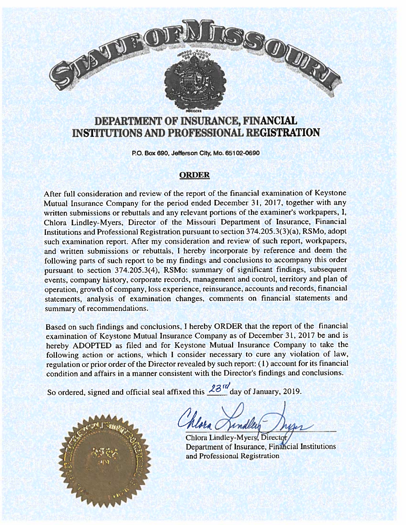# SSOUR

# DEPARTMENT OF INSURANCE, FINANCIAL INSTITUTIONS AND PROFESSIONAL REGISTRATION

MDCCCXX

P.O. Box 690, Jefferson City, Mo. 65102-0690

### **ORDER**

After full consideration and review of the repor<sup>t</sup> of the financial examination of Keystone Mutual Insurance Company for the period ended December 3L. 2017, together with any written submissions or rebuttals and any relevant portions of the examiner's workpapers, I, Chlora Lindley-Myers, Director of the Missouri Department of Insurance, Financial Institutions and Professional Registration pursuan<sup>t</sup> to section 374.205.3(3)(a), RSMo. adopt such examination report. After my consideration and review of such report, workpapers, and written submissions or rebuttals. <sup>I</sup> hereby incorporate by reference and deem the following parts of such repor<sup>t</sup> to be my findings and conclusions to accompany this order pursuan<sup>t</sup> to section 374.205.3(4), RSMo: summary of significant findings, subsequent events, company history, corporate records, managemen<sup>t</sup> and control, territory and <sup>p</sup>lan of operation, growth of company, loss experience, reinsurance. accounts and records, financial statements, analysis of examination changes, comments on financial statements and summary of recommendations.

Based on such findings and conclusions, I hereby ORDER that the report of the financial examination of Keystone Mutual Insurance Company as of December 31, <sup>2017</sup> be and is hereby ADOPTED as filed and for Keystone Mutual Insurance Company to take the following action or actions, which <sup>I</sup> consider necessary to cure any violation of law, regulation or prior order of the Director revealed by such report: (1) account for its financial condition and affairs in <sup>a</sup> manner consistent with the Director's findings and conclusions.

So ordered, signed and official seal affixed this  $\sim$  day of January, 2019.

Chlora Lindley-Myers, Director Department of Insurance, Financial Institutions and Professional Registration

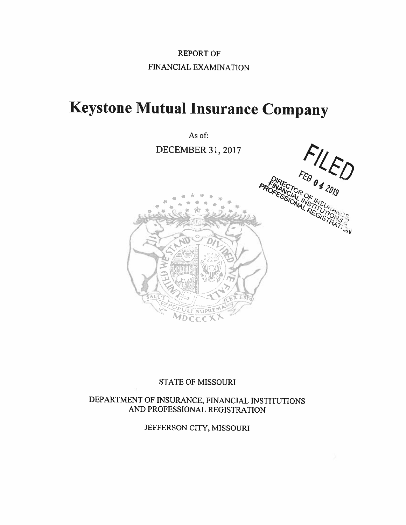# REPORT OF FINANCIAL EXAMINATION

# Keystone Mutual Insurance Company

As of:

DECEMBER31, 2017



## STATE OF MISSOURI

DEPARTMENT OF INSURANCE, FINANCIAL INSTITUTIONS AND PROFESSIONAL REGISTRATION

JEFFERSON CITY, MISSOURI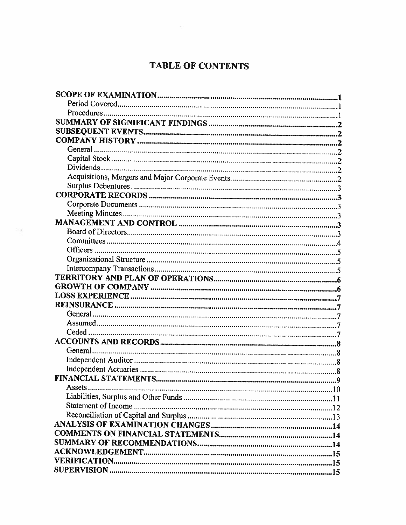# TABLE OF CONTENTS

| General  |  |
|----------|--|
|          |  |
|          |  |
|          |  |
|          |  |
|          |  |
|          |  |
|          |  |
|          |  |
|          |  |
|          |  |
|          |  |
|          |  |
|          |  |
|          |  |
|          |  |
|          |  |
|          |  |
|          |  |
|          |  |
|          |  |
|          |  |
| General. |  |
|          |  |
|          |  |
|          |  |
| Assets.  |  |
|          |  |
|          |  |
|          |  |
|          |  |
|          |  |
|          |  |
|          |  |
|          |  |
|          |  |
|          |  |

松前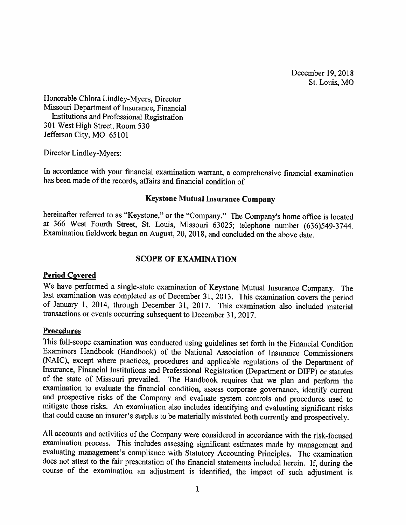December 19, 2018 St. Louis, MO

Honorable Chlora Lindley-Myers, Director Missouri Department of Insurance, Financial Institutions and Professional Registration 301 West High Street, Room 530 Jefferson City, MO 65101

Director Lindley-Myers:

In accordance with your financial examination warrant, <sup>a</sup> comprehensive financial examination has been made of the records, affairs and financial condition of

### Keystone Mutual Insurance Company

hereinafter referred to as "Keystone," or the "Company." The Company's home office is located at <sup>366</sup> West Fourth Street, St. Louis, Missouri 63025; telephone number (636)549-3744. Examination fieldwork began on August, 20, 2018, and concluded on the above date.

### SCOPE OF EXAMINATION

### Period Covered

We have performed a single-state examination of Keystone Mutual Insurance Company. The last examination was completed as of December 31, 2013. This examination covers the period of January 1, 2014, through December 31, 2017. This examination also included material transactions or events occurring subsequent to December 31, 2017.

### Procedures

This fill-scope examination was conducted using guidelines set forth in the Financial Condition Examiners Handbook (Handbook) of the National Association of Insurance Commissioners (NAIC). except where practices, procedures and applicable regulations of the Department of Insurance, Financial Institutions and Professional Registration (Department or DIFP) or statutes of the state of Missouri prevailed. The Handbook requires that we <sup>p</sup>lan and perform the examination to evaluate the financial condition, assess corporate governance, identify current and prospective risks of the Company and evaluate system controls and procedures used to mitigate those risks. An examination also includes identifying and evaluating significant risks that could cause an insurer's surplus to be materially misstated both currently and prospectively.

All accounts and activities of the Company were considered in accordance with the risk-focused examination process. This includes assessing significant estimates made by management and evaluating management's compliance with Statutory Accounting Principles. The examination does not attest to the fair presentation of the financial statements included herein. If, during the course of the examination an adjustment is identified, the impact of such adjustment is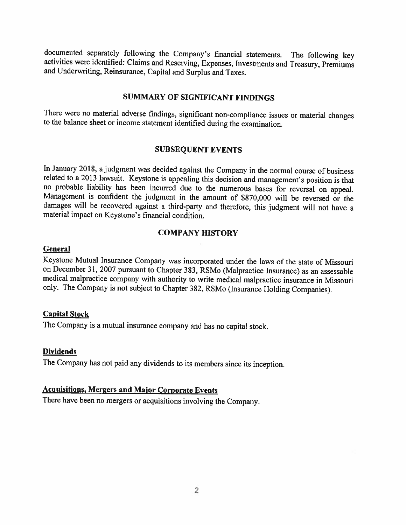documented separately following the Company's financial statements. The following key activities were identified: Claims and Reserving, Expenses, Investments and Treasury, Premiums and Underwriting, Reinsurance, Capital an

### SUMMARY OF SIGNIFICANT FINDINGS

There were no material adverse findings, significant non-compliance issues or material changes to the balance sheet or income statement identified during the examination.

### SUBSEQUENT EVENTS

In January 2018. <sup>a</sup> judgment was decided against the Company in the normal course of business related to a 2013 lawsuit. Keystone is appealing this decision and management's position is that no probable liability has been incurred due to the numerous bases for reversal on appeal. Management is confident the judgment in the amount of \$870,000 will be reversed or the damages will be recovered against <sup>a</sup> third-party and therefore, this judgment will not have <sup>a</sup> material impact on Keystone's financial condition.

### COMPANY HISTORY

### **General**

Keystone Mutual Insurance Company was incorporated under the laws of the state of Missouri on December 31, <sup>2007</sup> pursuant to Chapter 383. RSMo (Malpractice Insurance) as an assessable medical malpractice company with authority to write medical malpractice insurance in Missouri only. The Company is not subject to Chapter 382, RSMo (Insurance Holding Companies).

### Capital Stock

The Company is <sup>a</sup> mutual insurance company and has no capital stock.

### **Dividends**

The Company has not paid any dividends to its members since its inception.

### Acquisitions, Mergers and Major Corporate Events

There have been no mergers or acquisitions involving the Company.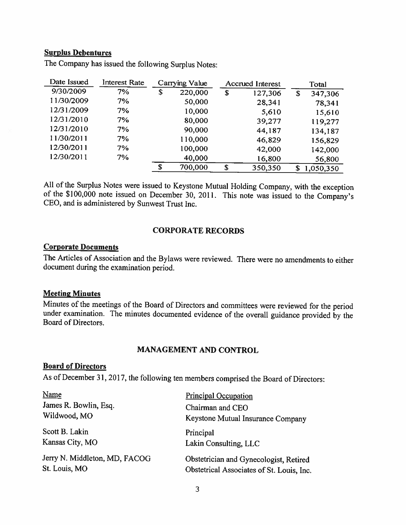### Surplus Debentures

| Date Issued | <b>Interest Rate</b> |    | Carrying Value |    | <b>Accrued Interest</b> |    | Total     |
|-------------|----------------------|----|----------------|----|-------------------------|----|-----------|
| 9/30/2009   | 7%                   | \$ | 220,000        | \$ | 127,306                 | \$ | 347,306   |
| 11/30/2009  | 7%                   |    | 50,000         |    | 28,341                  |    | 78,341    |
| 12/31/2009  | 7%                   |    | 10,000         |    | 5,610                   |    | 15,610    |
| 12/31/2010  | 7%                   |    | 80,000         |    | 39,277                  |    | 119,277   |
| 12/31/2010  | 7%                   |    | 90,000         |    | 44,187                  |    | 134,187   |
| 11/30/2011  | 7%                   |    | 110,000        |    | 46,829                  |    | 156,829   |
| 12/30/2011  | 7%                   |    | 100,000        |    | 42,000                  |    | 142,000   |
| 12/30/2011  | 7%                   |    | 40,000         |    | 16,800                  |    | 56,800    |
|             |                      | S  | 700,000        | \$ | 350,350                 | S  | 1,050,350 |

The Company has issued the following Surplus Notes:

All of the Surplus Notes were issued to Keystone Mutual Holding Company, with the exception of the \$100,000 note issued on December 30, 2011. This note was issued to the Company's CEO, and is administered by Sunwest Trust Inc.

### CORPORATE RECORDS

### Corporate Documents

The Articles of Association and the Bylaws were reviewed. There were no amendments to either document during the examination period.

### **Meeting Minutes**

Minutes of the meetings of the Board of Directors and committees were reviewed for the period under examination. The minutes documented evidence of the overall guidance provided by the Board of Directors.

### MANAGEMENT AND CONTROL

### Board of Directors

As of December 31, 2017, the following ten members comprised the Board of Directors:

| <b>Principal Occupation</b>                                                         |
|-------------------------------------------------------------------------------------|
| Chairman and CEO<br>Keystone Mutual Insurance Company                               |
| Principal<br>Lakin Consulting, LLC                                                  |
| Obstetrician and Gynecologist, Retired<br>Obstetrical Associates of St. Louis, Inc. |
|                                                                                     |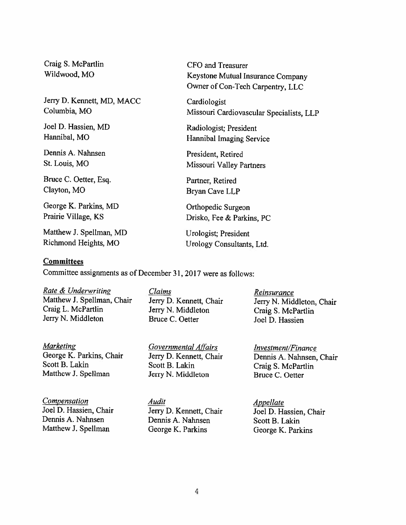Craig S. McPartlin CFO and Treasurer

Jerry D. Kennett, MD, MACC Cardiologist

Joel D. Hassien, MD Radiologist; President

Dennis A. Nahnsen President, Retired

Bruce C. Oetter, Esq. Partner, Retired Clayton, MO Bryan Cave LLP

George K. Parkins, MD Orthopedic Surgeon

Matthew J. Spellman, MD Urologist; President

### **Committees**

Committee assignments as of December 31, <sup>2017</sup> were as follows:

Rate & Underwriting Claims Claims Reinsurance Matthew J. Spellman, Chair Jerry D. Kennett, Chair Jerry N. Middleton, Chair Craig L. McPartlin Jerry N. Middleton Craig S. McPartlin Jerry N. Middleton Bruce C. Oetter Joel D. Hassien

Marketing Governmental Affairs Investment/Finance Scott B. Lakin Scott B. Lakin Craig S. McPartlin<br>
Matthew J. Spellman Jerry N. Middleton Bruce C. Oetter

Jerry N. Middleton Craig S. McPartlin

Jerry N. Middleton Bruce C. Oetter

**Compensation**<br>
Joel D. Hassien, Chair<br>
Jerry D. Kennett, Chair<br>
Joel D. Hassien, Chair Joel D. Hassien, Chair Jerry D. Kennett, Chair Joel D. Hassien, Chair Dennis A. Nahnsen Scott B. Lakin Dennis A. Nahnsen Scott B. Lakin Matthew J. Spellman George K. Parkins George K. Parkins

Wildwood, MO Keystone Mutual Insurance Company Owner of Con-Tech Carpentry. LLC

Columbia. MO Missouri Cardiovascular Specialists, LLP

Hannibal, MO **Hannibal Imaging Service** 

St. Louis, MO Missouri Valley Partners

Prairie Village, KS Drisko, Fee & Parkins, PC

Richmond Heights, MO Urology Consultants, Ltd.

George K. Parkins, Chair Jerry D. Kennett, Chair Dennis A. Nahnsen, Chair Scott B. Lakin Craig S. McPartlin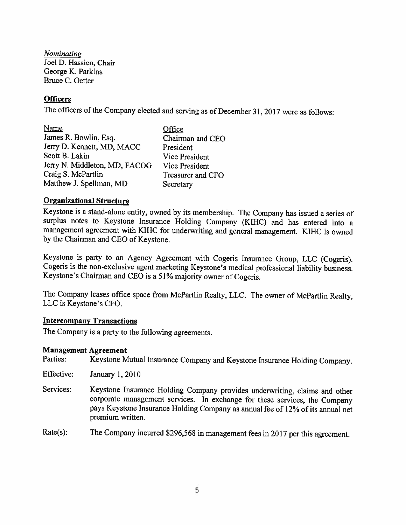Nominating Joel D. Hassien, Chair George K. Parkins Bruce C. Oetter

### **Officers**

The officers of the Company elected and serving as of December 31, <sup>2017</sup> were as follows:

Name Office James R. Bowlin. Esq. Chairman and CEO Jerry D. Kennett. MD, MACC President Scott B. Lakin Vice President Jerry N. Middleton, MD, FACOG Vice President Craig S. McPartlin Treasurer and CFO Matthew J. Spellman, MD Secretary

### Organizational Structure

Keystone is <sup>a</sup> stand-alone entity. owned by its membership. The Company has issued <sup>a</sup> series of surplus notes to Keystone Insurance Holding Company (KIHC) and has entered into <sup>a</sup> management agreement with KIHC for underwriting and general management. KIHC is owned by the Chairman and CEO of Keystone.

Keystone is party to an Agency Agreement with Cogeris Insurance Group, LLC (Cogeris). Cogeris is the non-exclusive agent marketing Keystone's medical professional liability business. Keystone's Chairman and CEO is <sup>a</sup> 51% majority owner of Cogeris.

The Company leases office space from McPartlin Realty, LLC. The owner of McPartlin Realty, LLC is Keystone's CEO.

### Intercompany Transactions

The Company is <sup>a</sup> party to the following agreements.

### Management Agreement

Parties: Keystone Mutual Insurance Company and Keystone Insurance Holding Company.

- Effective: January 1, 2010
- Services: Keystone Insurance Holding Company provides underwriting, claims and other corporate management services. In exchange for these services, the Company pays Keystone Insurance Holding Company as annual fee of 12% of its annual net premium written.

Rate(s): The Company incurred \$296,568 in management fees in <sup>2017</sup> per this agreement.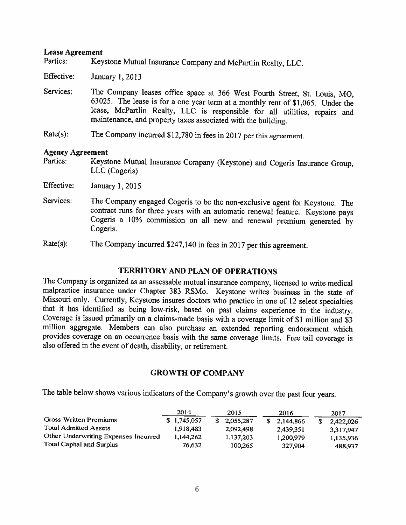### Lease Agreement

Parties: Keystone Mutual Insurance Company and McPartlin Realty, LLC.

Effective: January 1,2013

- Services: The Company leases office space at 366 West Fourth Street, St. Louis, MO. 63025. The lease is for <sup>a</sup> one year term at <sup>a</sup> monthly rent of \$1,065 Under the lease, McPartlin Realty, LLC is responsible for all utilities, repairs and maintenance, and property taxes associated with the building.
- Rate(s): The Company incurred \$12,780 in fees in <sup>2017</sup> per this agreement.

### Agency Agreement

- Parties: Keystone Mutual Insurance Company (Keystone) and Cogeris Insurance Group, LLC (Cogeris)
- Effective: January 1,2015
- Services: The Company engaged Cogeris to be the non-exclusive agent for Keystone. The contract runs for three years with an automatic renewal feature. Keystone pays Cogeris a 10% commission on all new and renewal premium generated by Cogeris.
- Rate(s): The Company incurred \$247,140 in fees in 2017 per this agreement.

### TERRITORY AND PLAN OF OPERATIONS

The Company is organized as an assessable mutual insurance company, licensed to write medical malpractice insurance under Chapter <sup>383</sup> RSMo, Keystone writes business in the state of Missouri only. Currently, Keystone insures doctors who practice in one of 12 select specialties that it has identified as being low-risk, based on past claims experience in the industry. Coverage is issued primarily on a claims-made basis with a coverage limit of \$1 million and \$3 million aggregate. Members can also purchase an extended reporting endorsement which provides coverage on an occurrence basis with the same coverage limits. Free tail coverage is also offered in the event of death, disability, or retirement.

### GROWTH OF COMPANY

The table below shows various indicators of the Company's growth over the past four years.

|                                      | 2014        | 2015      | 2016      | 2017      |
|--------------------------------------|-------------|-----------|-----------|-----------|
| Gross Written Premiums               | \$1,745,057 | 2,055,287 | 2.144.866 | 2,422,026 |
| <b>Total Admitted Assets</b>         | 1.918.483   | 2,092,498 | 2,439,351 | 3.317.947 |
| Other Underwriting Expenses Incurred | 1,144,262   | 1,137,203 | 1,200,979 | 1,135,936 |
| Total Capital and Surplus            | 76,632      | 100.265   | 327,904   | 488,937   |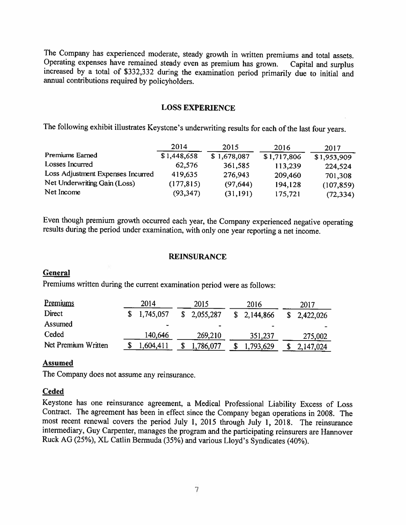The Company has experienced moderate, steady growth in written premiums and total assets.<br>Operating expenses have remained steady even as premium has grown. Capital and surplus Operating expenses have remained steady even as premium has grown. Capital and surplus increased by <sup>a</sup> total of \$332,332 during the examination period primarily due to initial and annual contributions required by policyholders.

### LOSS EXPERIENCE

The following exhibit illustrates Keystone's underwriting results for each of the last four years.

|                                   | 2014        | 2015        | 2016        | 2017        |
|-----------------------------------|-------------|-------------|-------------|-------------|
| Premiums Earned                   | \$1,448,658 | \$1,678,087 | \$1,717,806 | \$1,953,909 |
| Losses Incurred                   | 62,576      | 361,585     | 113,239     | 224,524     |
| Loss Adjustment Expenses Incurred | 419,635     | 276,943     | 209,460     | 701,308     |
| Net Underwriting Gain (Loss)      | (177, 815)  | (97, 644)   | 194,128     | (107, 859)  |
| Net Income                        | (93, 347)   | (31, 191)   | 175,721     | (72, 334)   |

Even though premium growth occurred each year, the Company experienced negative operating results during the period under examination, with only one year reporting <sup>a</sup> net income.

### REINSURANCE

### General

Premiums written during the current examination period were as follows:

| Premiums            | 2014           | 2015                         | 2016      | 2017      |
|---------------------|----------------|------------------------------|-----------|-----------|
| Direct              | 1,745,057      | 2,055,287                    | 2,144,866 | 2,422,026 |
| Assumed             | $\blacksquare$ | $\qquad \qquad \blacksquare$ |           |           |
| Ceded               | 140,646        | 269,210                      | 351,237   | 275,002   |
| Net Premium Written | 1,604,411      | ,786,077                     | 1,793,629 | 2,147,024 |

### Assumed

The Company does not assume any reinsurance,

### **Ceded**

Keystone has one reinsurance agreement, <sup>a</sup> Medical Professional Liability Excess of Loss Contract. The agreement has been in effect since the Company began operations in 2008. The most recent renewal covers the period July 1, <sup>2015</sup> through July 1, 2018. The reinsurance intermediary, Guy Carpenter, manages the program and the participating reinsurers are Hannover Ruck AG (25%), XL Catlin Bermuda (35%) and various Lloyd's Syndicates (40%).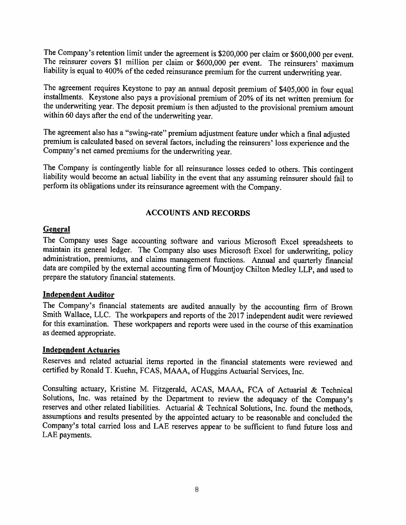The Company's retention limit under the agreement is \$200,000 per claim or \$600,000 per event. The reinsurer covers \$1 million per claim or \$600,000 per event. The reinsurers' maximum liability is equa<sup>l</sup> to 400% of the ceded reinsurance premium for the current underwriting year.

The agreement requires Keystone to pay an annual deposit premium of \$405,000 in four equa<sup>l</sup> installments. Keystone also pays <sup>a</sup> provisional premium of 20% of its net written premium for the underwriting year. The deposit premium is then adjusted to the provisional premium amount within <sup>60</sup> days after the end of the underwriting year.

The agreement also has <sup>a</sup> "swing-rate" premium adjustment feature under which <sup>a</sup> final adjusted premium is calculated based on several factors, including the reinsurers' loss experience and the Company's net earned premiums for the underwriting year.

The Company is contingently liable for all reinsurance losses ceded to others. This contingent liability would become an actual liability in the event that any assuming reinsurer should fail to perform its obligations under its reinsurance agreement with the Company.

### ACCOUNTS AND RECORDS

### General

The Company uses Sage accounting software and various Microsoft Excel spreadsheets to maintain its general ledger. The Company also uses Microsoft Excel for underwriting, policy administration, premiums, and claims management functions. Annual and quarterly financial data are compiled by the external accounting firm of Mountjoy Chilton Medley LLP, and used to prepare the statutory financial statements.

### Independent Auditor

The Company's financial statements are audited annually by the accounting firm of Brown Smith Wallace. LLC. The workpapers and reports of the <sup>2017</sup> independent audit were reviewed for this examination. These workpapers and reports were used in the course of this examination as deemed appropriate.

### Independent Actuaries

Reserves and related actuarial items reported in the financial statements were reviewed and certified by Ronald T. Kuehn, FCAS, MAAA. of Huggins Actuarial Services, Inc.

Consulting actuary, Kristine M. Fitzgerald. ACAS. MAAA, FCA of Actuarial & Technical Solutions. Inc. was retained by the Department to review the adequacy of the Company's reserves and other related liabilities. Actuarial  $\&$  Technical Solutions, Inc. found the methods, assumptions and results presented by the appointed actuary to be reasonable and concluded the Company's total carried loss and LAE reserves appear to be sufficient to fund future loss and LAE payments.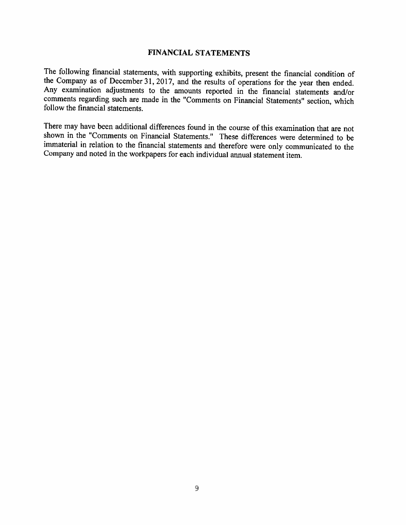### FINANCIAL STATEMENTS

The following financial statements, with supporting exhibits, present the financial condition of the Company as of December 31, 2017, and the results of operations for the year then ended. Any examination adjustments to the amounts reported in the financial statements and/or comments regarding such are made in the "Comments on Financial Statements' section, which follow the financial statements.

There may have been additional differences found in the course of this examination that are not shown in the "Comments on Financial Statements." These differences were determined to be immaterial in relation to the financial statements and therefore were only communicated to the Company and noted in the workpapers for each individual annual statement item.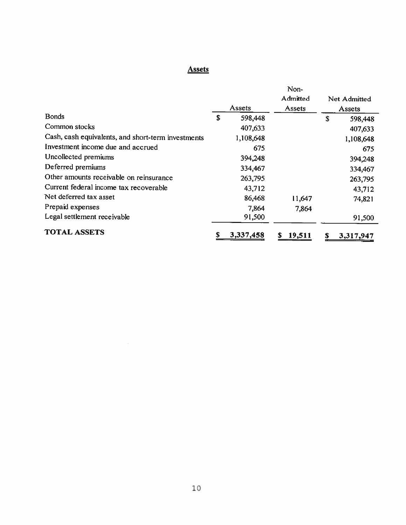# Assets

|                                                    |    |           | Non-        |    |              |
|----------------------------------------------------|----|-----------|-------------|----|--------------|
|                                                    |    |           | Admitted    |    | Net Admitted |
|                                                    |    | Assets    | Assets      |    | Assets       |
| <b>Bonds</b>                                       | S  | 598,448   |             | \$ | 598,448      |
| Common stocks                                      |    | 407,633   |             |    | 407,633      |
| Cash, cash equivalents, and short-term investments |    | 1,108,648 |             |    | 1,108,648    |
| Investment income due and accrued                  |    | 675       |             |    | 675          |
| Uncollected premiums                               |    | 394,248   |             |    | 394,248      |
| Deferred premiums                                  |    | 334,467   |             |    | 334,467      |
| Other amounts receivable on reinsurance            |    | 263,795   |             |    | 263,795      |
| Current federal income tax recoverable             |    | 43,712    |             |    | 43,712       |
| Net deferred tax asset                             |    | 86,468    | 11,647      |    | 74,821       |
| Prepaid expenses                                   |    | 7,864     | 7,864       |    |              |
| Legal settlement receivable                        |    | 91,500    |             |    | 91,500       |
| <b>TOTAL ASSETS</b>                                | \$ | 3,337,458 | 19,511<br>S | S  | 3,317,947    |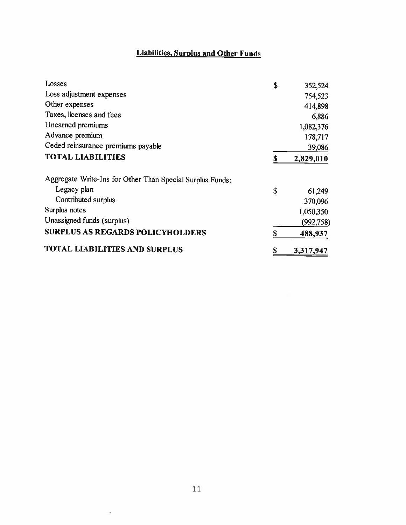# Liabilities, Surplus and Other Funds

| Losses                                                    | \$ | 352,524   |
|-----------------------------------------------------------|----|-----------|
| Loss adjustment expenses                                  |    | 754,523   |
| Other expenses                                            |    | 414,898   |
| Taxes, licenses and fees                                  |    | 6,886     |
| Unearned premiums                                         |    | 1,082,376 |
| Advance premium                                           |    | 178,717   |
| Ceded reinsurance premiums payable                        |    | 39,086    |
| <b>TOTAL LIABILITIES</b>                                  | S  | 2,829,010 |
| Aggregate Write-Ins for Other Than Special Surplus Funds: |    |           |
| Legacy plan                                               | \$ | 61,249    |
| Contributed surplus                                       |    | 370,096   |
| Surplus notes                                             |    | 1,050,350 |
| Unassigned funds (surplus)                                |    | (992,758) |
| <b>SURPLUS AS REGARDS POLICYHOLDERS</b>                   | \$ | 488,937   |
| <b>TOTAL LIABILITIES AND SURPLUS</b>                      | S  | 3,317,947 |

 $\tilde{\mathbf{x}}$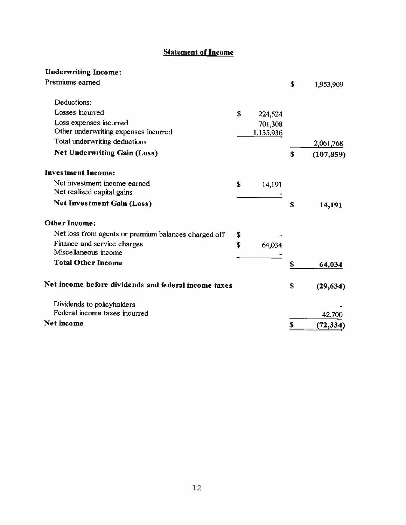# **Statement of Income**

## Underwriting Income:

| Premiums earned                                      |    |           | \$ | 1,953,909  |
|------------------------------------------------------|----|-----------|----|------------|
| Deductions:                                          |    |           |    |            |
| Losses incurred                                      | \$ | 224,524   |    |            |
| Loss expenses incurred                               |    | 701,308   |    |            |
| Other underwriting expenses incurred                 |    | 1,135,936 |    |            |
| Total underwriting deductions                        |    |           |    | 2,061,768  |
| <b>Net Underwriting Gain (Loss)</b>                  |    |           | S  | (107, 859) |
| <b>Investment Income:</b>                            |    |           |    |            |
| Net investment income earned                         | \$ | 14,191    |    |            |
| Net realized capital gains                           |    |           |    |            |
| <b>Net Investment Gain (Loss)</b>                    |    |           | S  | 14,191     |
| <b>Other Income:</b>                                 |    |           |    |            |
| Net loss from agents or premium balances charged off | \$ |           |    |            |
| Finance and service charges                          | S  | 64,034    |    |            |
| Miscellaneous income                                 |    |           |    |            |
| <b>Total Other Income</b>                            |    |           | S  | 64,034     |
| Net income before dividends and federal income taxes |    |           | \$ | (29, 634)  |
| Dividends to policyholders                           |    |           |    |            |
| Federal income taxes incurred                        |    |           |    | 42,700     |
| <b>Net income</b>                                    |    |           | \$ | (72, 334)  |
|                                                      |    |           |    |            |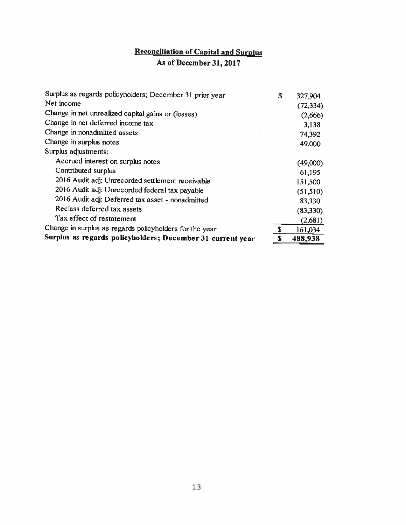# Reconciliation of Capital and Surplus

# As of December 31, 2017

| Surplus as regards policyholders; December 31 prior year   | S  | 327,904   |
|------------------------------------------------------------|----|-----------|
| Net income                                                 |    | (72, 334) |
| Change in net unrealized capital gains or (losses)         |    | (2,666)   |
| Change in net deferred income tax                          |    | 3,138     |
| Change in nonadmitted assets                               |    | 74,392    |
| Change in surplus notes                                    |    | 49,000    |
| Surplus adjustments:                                       |    |           |
| Accrued interest on surplus notes                          |    | (49,000)  |
| Contributed surplus                                        |    | 61,195    |
| 2016 Audit adj: Unrecorded settlement receivable           |    | 151,500   |
| 2016 Audit adj: Unrecorded federal tax payable             |    | (51, 510) |
| 2016 Audit adj: Deferred tax asset - nonadmitted           |    | 83,330    |
| Reclass deferred tax assets                                |    | (83,330)  |
| Tax effect of restatement                                  |    | (2,681)   |
| Change in surplus as regards policyholders for the year    | \$ | 161,034   |
| Surplus as regards policyholders; December 31 current year | S  | 488,938   |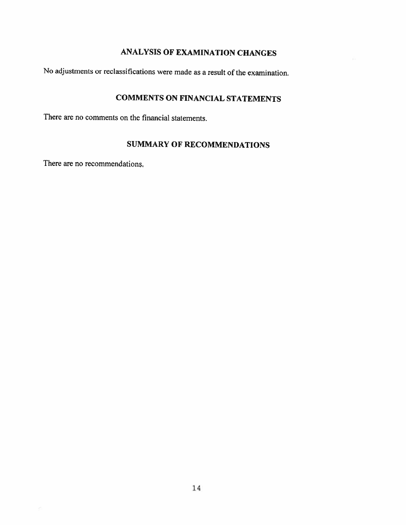# ANALYSIS OF EXAMINATION CHANGES

No adjustments or reclassifications were made as <sup>a</sup> result of the examination.

# COMMENTS ON FINANCIAL STATEMENTS

There are no comments on the financial statements.

## SUMMARY OF RECOMMENDATIONS

There are no recommendations.